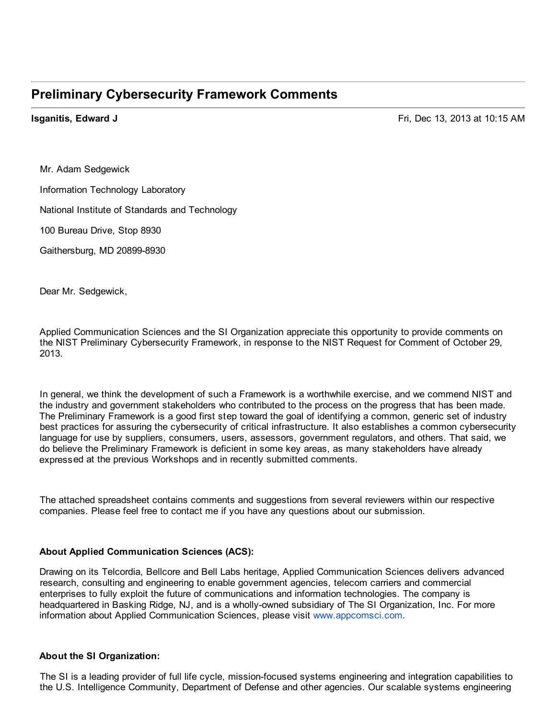## **Preliminary Cybersecurity Framework Comments**

 **Isganitis, Edward J** Fri, Dec 13, 2013 at 10:15 AM

 Mr. Adam Sedgewick Information Technology Laboratory

National Institute of Standards and Technology

100 Bureau Drive, Stop 8930

Gaithersburg, MD 20899-8930

Dear Mr. Sedgewick,

 Applied Communication Sciences and the SI Organization appreciate this opportunity to provide comments on the NIST Preliminary Cybersecurity Framework, in response to the NIST Request for Comment of October 29, 2013.

 In general, we think the development of such a Framework is a worthwhile exercise, and we commend NIST and the industry and government stakeholders who contributed to the process on the progress that has been made. The Preliminary Framework is a good first step toward the goal of identifying a common, generic set of industry best practices for assuring the cybersecurity of critical infrastructure. It also establishes a common cybersecurity language for use by suppliers, consumers, users, assessors, government regulators, and others. That said, we do believe the Preliminary Framework is deficient in some key areas, as many stakeholders have already expressed at the previous Workshops and in recently submitted comments.

 The attached spreadsheet contains comments and suggestions from several reviewers within our respective companies. Please feel free to contact me if you have any questions about our submission.

## **About Applied Communication Sciences (ACS):**

 Drawing on its Telcordia, Bellcore and Bell Labs heritage, Applied Communication Sciences delivers advanced research, consulting and engineering to enable government agencies, telecom carriers and commercial enterprises to fully exploit the future of communications and information technologies. The company is headquartered in Basking Ridge, NJ, and is a wholly-owned subsidiary of The SI Organization, Inc. For more information about Applied Communication Sciences, please visit www.appcomsci.com.

## **About the SI Organization:**

 The SI is a leading provider of full life cycle, mission-focused systems engineering and integration capabilities to the U.S. Intelligence Community, Department of Defense and other agencies. Our scalable systems engineering